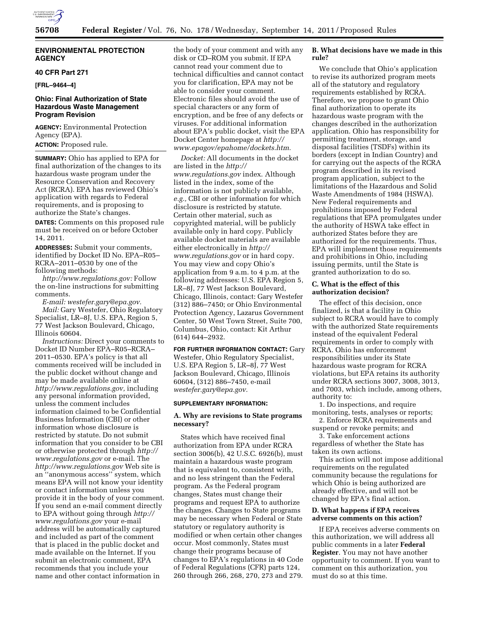

### **ENVIRONMENTAL PROTECTION AGENCY**

#### **40 CFR Part 271**

**[FRL–9464–4]** 

# **Ohio: Final Authorization of State Hazardous Waste Management Program Revision**

**AGENCY:** Environmental Protection Agency (EPA).

**ACTION:** Proposed rule.

**SUMMARY:** Ohio has applied to EPA for final authorization of the changes to its hazardous waste program under the Resource Conservation and Recovery Act (RCRA). EPA has reviewed Ohio's application with regards to Federal requirements, and is proposing to authorize the State's changes.

**DATES:** Comments on this proposed rule must be received on or before October 14, 2011.

**ADDRESSES:** Submit your comments, identified by Docket ID No. EPA–R05– RCRA–2011–0530 by one of the following methods:

*[http://www.regulations.gov:](http://www.regulations.gov)* Follow the on-line instructions for submitting comments.

*E-mail: [westefer.gary@epa.gov.](mailto:westefer.gary@epa.gov) Mail:* Gary Westefer, Ohio Regulatory Specialist, LR–8J, U.S. EPA, Region 5, 77 West Jackson Boulevard, Chicago, Illinois 60604.

*Instructions:* Direct your comments to Docket ID Number EPA–R05–RCRA– 2011–0530. EPA's policy is that all comments received will be included in the public docket without change and may be made available online at *[http://www.regulations.gov,](http://www.regulations.gov)* including any personal information provided, unless the comment includes information claimed to be Confidential Business Information (CBI) or other information whose disclosure is restricted by statute. Do not submit information that you consider to be CBI or otherwise protected through *[http://](http://www.regulations.gov)  [www.regulations.gov](http://www.regulations.gov)* or e-mail. The *<http://www.regulations.gov>* Web site is an ''anonymous access'' system, which means EPA will not know your identity or contact information unless you provide it in the body of your comment. If you send an e-mail comment directly to EPA without going through *[http://](http://www.regulations.gov) [www.regulations.gov](http://www.regulations.gov)* your e-mail address will be automatically captured and included as part of the comment that is placed in the public docket and made available on the Internet. If you submit an electronic comment, EPA recommends that you include your name and other contact information in

the body of your comment and with any disk or CD–ROM you submit. If EPA cannot read your comment due to technical difficulties and cannot contact you for clarification, EPA may not be able to consider your comment. Electronic files should avoid the use of special characters or any form of encryption, and be free of any defects or viruses. For additional information about EPA's public docket, visit the EPA Docket Center homepage at *[http://](http://www.epagov/epahome/dockets.htm) [www.epagov/epahome/dockets.htm.](http://www.epagov/epahome/dockets.htm)* 

*Docket:* All documents in the docket are listed in the *[http://](http://www.regulations.gov) [www.regulations.gov](http://www.regulations.gov)* index. Although listed in the index, some of the information is not publicly available, *e.g.,* CBI or other information for which disclosure is restricted by statute. Certain other material, such as copyrighted material, will be publicly available only in hard copy. Publicly available docket materials are available either electronically in *[http://](http://www.regulations.gov)  [www.regulations.gov](http://www.regulations.gov)* or in hard copy. You may view and copy Ohio's application from 9 a.m. to 4 p.m. at the following addresses: U.S. EPA Region 5, LR–8J, 77 West Jackson Boulevard, Chicago, Illinois, contact: Gary Westefer (312) 886–7450; or Ohio Environmental Protection Agency, Lazarus Government Center, 50 West Town Street, Suite 700, Columbus, Ohio, contact: Kit Arthur (614) 644–2932.

#### **FOR FURTHER INFORMATION CONTACT:** Gary Westefer, Ohio Regulatory Specialist,

U.S. EPA Region 5, LR–8J, 77 West Jackson Boulevard, Chicago, Illinois 60604, (312) 886–7450, e-mail *[westefer.gary@epa.gov.](mailto:westefer.gary@epa.gov)* 

#### **SUPPLEMENTARY INFORMATION:**

#### **A. Why are revisions to State programs necessary?**

States which have received final authorization from EPA under RCRA section 3006(b), 42 U.S.C. 6926(b), must maintain a hazardous waste program that is equivalent to, consistent with, and no less stringent than the Federal program. As the Federal program changes, States must change their programs and request EPA to authorize the changes. Changes to State programs may be necessary when Federal or State statutory or regulatory authority is modified or when certain other changes occur. Most commonly, States must change their programs because of changes to EPA's regulations in 40 Code of Federal Regulations (CFR) parts 124, 260 through 266, 268, 270, 273 and 279.

### **B. What decisions have we made in this rule?**

We conclude that Ohio's application to revise its authorized program meets all of the statutory and regulatory requirements established by RCRA. Therefore, we propose to grant Ohio final authorization to operate its hazardous waste program with the changes described in the authorization application. Ohio has responsibility for permitting treatment, storage, and disposal facilities (TSDFs) within its borders (except in Indian Country) and for carrying out the aspects of the RCRA program described in its revised program application, subject to the limitations of the Hazardous and Solid Waste Amendments of 1984 (HSWA). New Federal requirements and prohibitions imposed by Federal regulations that EPA promulgates under the authority of HSWA take effect in authorized States before they are authorized for the requirements. Thus, EPA will implement those requirements and prohibitions in Ohio, including issuing permits, until the State is granted authorization to do so.

#### **C. What is the effect of this authorization decision?**

The effect of this decision, once finalized, is that a facility in Ohio subject to RCRA would have to comply with the authorized State requirements instead of the equivalent Federal requirements in order to comply with RCRA. Ohio has enforcement responsibilities under its State hazardous waste program for RCRA violations, but EPA retains its authority under RCRA sections 3007, 3008, 3013, and 7003, which include, among others, authority to:

1. Do inspections, and require monitoring, tests, analyses or reports;

2. Enforce RCRA requirements and suspend or revoke permits; and

3. Take enforcement actions regardless of whether the State has taken its own actions.

This action will not impose additional requirements on the regulated community because the regulations for which Ohio is being authorized are already effective, and will not be changed by EPA's final action.

### **D. What happens if EPA receives adverse comments on this action?**

If EPA receives adverse comments on this authorization, we will address all public comments in a later **Federal Register**. You may not have another opportunity to comment. If you want to comment on this authorization, you must do so at this time.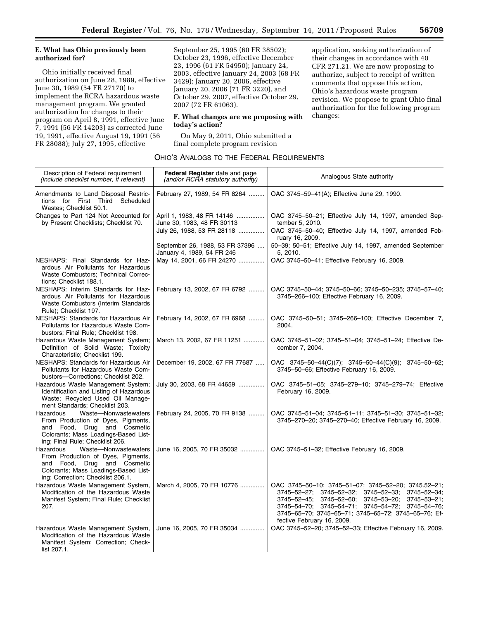### **E. What has Ohio previously been authorized for?**

Ohio initially received final authorization on June 28, 1989, effective June 30, 1989 (54 FR 27170) to implement the RCRA hazardous waste management program. We granted authorization for changes to their program on April 8, 1991, effective June 7, 1991 (56 FR 14203) as corrected June 19, 1991, effective August 19, 1991 (56 FR 28088); July 27, 1995, effective

September 25, 1995 (60 FR 38502); October 23, 1996, effective December 23, 1996 (61 FR 54950); January 24, 2003, effective January 24, 2003 (68 FR 3429); January 20, 2006, effective January 20, 2006 (71 FR 3220), and October 29, 2007, effective October 29, 2007 (72 FR 61063).

### **F. What changes are we proposing with today's action?**

On May 9, 2011, Ohio submitted a final complete program revision

application, seeking authorization of their changes in accordance with 40 CFR 271.21. We are now proposing to authorize, subject to receipt of written comments that oppose this action, Ohio's hazardous waste program revision. We propose to grant Ohio final authorization for the following program changes:

| Ohio's Analogs to the Federal Requirements |  |
|--------------------------------------------|--|
|--------------------------------------------|--|

| Description of Federal requirement<br>(include checklist number, if relevant)                                                                                                       | <b>Federal Register</b> date and page<br>(and/or RCRA statutory authority) | Analogous State authority                                                                                                                                                                                                                                                                                                                            |
|-------------------------------------------------------------------------------------------------------------------------------------------------------------------------------------|----------------------------------------------------------------------------|------------------------------------------------------------------------------------------------------------------------------------------------------------------------------------------------------------------------------------------------------------------------------------------------------------------------------------------------------|
| Amendments to Land Disposal Restric-<br>tions for First Third Scheduled<br>Wastes; Checklist 50.1.                                                                                  | February 27, 1989, 54 FR 8264                                              | OAC 3745-59-41(A); Effective June 29, 1990.                                                                                                                                                                                                                                                                                                          |
| Changes to Part 124 Not Accounted for<br>by Present Checklists; Checklist 70.                                                                                                       | April 1, 1983, 48 FR 14146<br>June 30, 1983, 48 FR 30113                   | OAC 3745-50-21; Effective July 14, 1997, amended Sep-<br>tember 5, 2010.                                                                                                                                                                                                                                                                             |
|                                                                                                                                                                                     | July 26, 1988, 53 FR 28118                                                 | OAC 3745-50-40; Effective July 14, 1997, amended Feb-<br>ruary 16, 2009.                                                                                                                                                                                                                                                                             |
|                                                                                                                                                                                     | September 26, 1988, 53 FR 37396<br>January 4, 1989, 54 FR 246              | 50-39; 50-51; Effective July 14, 1997, amended September<br>5, 2010.                                                                                                                                                                                                                                                                                 |
| NESHAPS: Final Standards for Haz-<br>ardous Air Pollutants for Hazardous<br>Waste Combustors; Technical Correc-<br>tions; Checklist 188.1.                                          | May 14, 2001, 66 FR 24270                                                  | OAC 3745-50-41; Effective February 16, 2009.                                                                                                                                                                                                                                                                                                         |
| NESHAPS: Interim Standards for Haz-<br>ardous Air Pollutants for Hazardous<br>Waste Combustors (Interim Standards<br>Rule); Checklist 197.                                          | February 13, 2002, 67 FR 6792                                              | OAC 3745-50-44; 3745-50-66; 3745-50-235; 3745-57-40;<br>3745-266-100; Effective February 16, 2009.                                                                                                                                                                                                                                                   |
| NESHAPS: Standards for Hazardous Air<br>Pollutants for Hazardous Waste Com-<br>bustors; Final Rule; Checklist 198.                                                                  | February 14, 2002, 67 FR 6968                                              | OAC 3745-50-51; 3745-266-100; Effective December 7,<br>2004.                                                                                                                                                                                                                                                                                         |
| Hazardous Waste Management System;<br>Definition of Solid Waste; Toxicity<br>Characteristic; Checklist 199.                                                                         | March 13, 2002, 67 FR 11251                                                | OAC 3745-51-02; 3745-51-04; 3745-51-24; Effective De-<br>cember 7, 2004.                                                                                                                                                                                                                                                                             |
| NESHAPS: Standards for Hazardous Air<br>Pollutants for Hazardous Waste Com-<br>bustors-Corrections; Checklist 202.                                                                  | December 19, 2002, 67 FR 77687                                             | OAC 3745-50-44(C)(7); 3745-50-44(C)(9); 3745-50-62;<br>3745-50-66; Effective February 16, 2009.                                                                                                                                                                                                                                                      |
| Hazardous Waste Management System;<br>Identification and Listing of Hazardous<br>Waste; Recycled Used Oil Manage-<br>ment Standards; Checklist 203.                                 | July 30, 2003, 68 FR 44659                                                 | OAC 3745-51-05; 3745-279-10; 3745-279-74; Effective<br>February 16, 2009.                                                                                                                                                                                                                                                                            |
| Hazardous<br>Waste-Nonwastewaters<br>From Production of Dyes, Pigments,<br>and Food, Drug and Cosmetic<br>Colorants; Mass Loadings-Based List-<br>ing; Final Rule; Checklist 206.   | February 24, 2005, 70 FR 9138                                              | OAC 3745-51-04; 3745-51-11; 3745-51-30; 3745-51-32;<br>3745-270-20; 3745-270-40; Effective February 16, 2009.                                                                                                                                                                                                                                        |
| Waste-Nonwastewaters<br>Hazardous<br>From Production of Dyes, Pigments,<br>and Food, Drug and Cosmetic<br>Colorants; Mass Loadings-Based List-<br>ing; Correction; Checklist 206.1. | June 16, 2005, 70 FR 35032                                                 | OAC 3745-51-32; Effective February 16, 2009.                                                                                                                                                                                                                                                                                                         |
| Hazardous Waste Management System,<br>Modification of the Hazardous Waste<br>Manifest System; Final Rule; Checklist<br>207.                                                         | March 4, 2005, 70 FR 10776                                                 | OAC 3745-50-10; 3745-51-07; 3745-52-20; 3745.52-21;<br>$3745 - 52 - 27$ ; $3745 - 52 - 32$ ; $3745 - 52 - 33$ ;<br>3745-52-34:<br>$3745 - 52 - 45$ ; $3745 - 52 - 60$ ;<br>3745-53-20;<br>$3745 - 53 - 21$ ;<br>3745-54-70; 3745-54-71; 3745-54-72; 3745-54-76;<br>3745-65-70; 3745-65-71; 3745-65-72; 3745-65-76; Ef-<br>fective February 16, 2009. |
| Hazardous Waste Management System,<br>Modification of the Hazardous Waste<br>Manifest System; Correction; Check-<br>list 207.1.                                                     | June 16, 2005, 70 FR 35034                                                 | OAC 3745-52-20; 3745-52-33; Effective February 16, 2009.                                                                                                                                                                                                                                                                                             |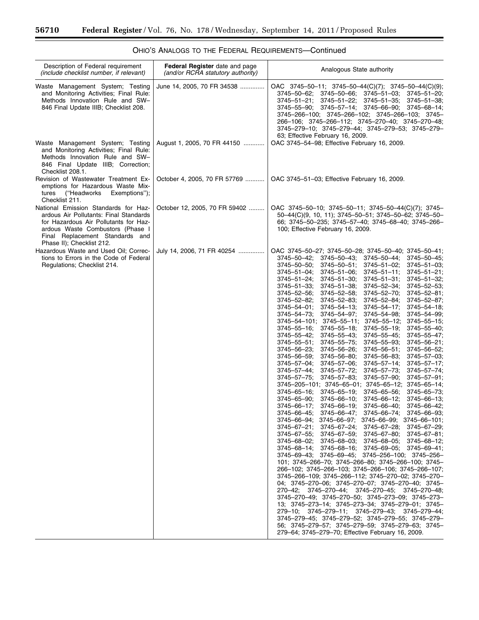$\equiv$ 

| Description of Federal requirement<br>(include checklist number, if relevant)                                                                                                                                               | Federal Register date and page<br>(and/or RCRA statutory authority) | Analogous State authority                                                                                                                                                                                                                                                                                                                                                                                                                                                                                                                                                                                                                                                                                                                                                                                                                                                                                                                                                                                                                                                                                                                                                                                                                                                                                                                                                                                                                                                                                                                                                                                                                                                                                                                                                                                                                                                                                                                                                                                                                                                                                                                                                                                                                                                                                                                                                                                                                                                                                                                                                                                                                                                                                                                                                                                                                                                                                                                                                                         |
|-----------------------------------------------------------------------------------------------------------------------------------------------------------------------------------------------------------------------------|---------------------------------------------------------------------|---------------------------------------------------------------------------------------------------------------------------------------------------------------------------------------------------------------------------------------------------------------------------------------------------------------------------------------------------------------------------------------------------------------------------------------------------------------------------------------------------------------------------------------------------------------------------------------------------------------------------------------------------------------------------------------------------------------------------------------------------------------------------------------------------------------------------------------------------------------------------------------------------------------------------------------------------------------------------------------------------------------------------------------------------------------------------------------------------------------------------------------------------------------------------------------------------------------------------------------------------------------------------------------------------------------------------------------------------------------------------------------------------------------------------------------------------------------------------------------------------------------------------------------------------------------------------------------------------------------------------------------------------------------------------------------------------------------------------------------------------------------------------------------------------------------------------------------------------------------------------------------------------------------------------------------------------------------------------------------------------------------------------------------------------------------------------------------------------------------------------------------------------------------------------------------------------------------------------------------------------------------------------------------------------------------------------------------------------------------------------------------------------------------------------------------------------------------------------------------------------------------------------------------------------------------------------------------------------------------------------------------------------------------------------------------------------------------------------------------------------------------------------------------------------------------------------------------------------------------------------------------------------------------------------------------------------------------------------------------------------|
| Waste Management System; Testing<br>and Monitoring Activities; Final Rule:<br>Methods Innovation Rule and SW-<br>846 Final Update IIIB; Checklist 208.                                                                      | June 14, 2005, 70 FR 34538                                          | OAC 3745-50-11; 3745-50-44(C)(7); 3745-50-44(C)(9);<br>3745-50-62;<br>3745–50–66;<br>3745–51–03;<br>$3745 - 51 - 20$ ;<br>$3745 - 51 - 35$ ;<br>$3745 - 51 - 21$ ;<br>$3745 - 51 - 22$ ;<br>3745-51-38;<br>3745-57-14; 3745-66-90; 3745-68-14;<br>3745-55-90;<br>3745-266-100; 3745-266-102; 3745-266-103; 3745-<br>266-106; 3745-266-112; 3745-270-40; 3745-270-48;<br>3745-279-10; 3745-279-44; 3745-279-53; 3745-279-<br>63; Effective February 16, 2009.                                                                                                                                                                                                                                                                                                                                                                                                                                                                                                                                                                                                                                                                                                                                                                                                                                                                                                                                                                                                                                                                                                                                                                                                                                                                                                                                                                                                                                                                                                                                                                                                                                                                                                                                                                                                                                                                                                                                                                                                                                                                                                                                                                                                                                                                                                                                                                                                                                                                                                                                      |
| Waste Management System; Testing<br>and Monitoring Activities; Final Rule:<br>Methods Innovation Rule and SW-<br>846 Final Update IIIB; Correction;<br>Checklist 208.1.                                                     | August 1, 2005, 70 FR 44150                                         | OAC 3745-54-98; Effective February 16, 2009.                                                                                                                                                                                                                                                                                                                                                                                                                                                                                                                                                                                                                                                                                                                                                                                                                                                                                                                                                                                                                                                                                                                                                                                                                                                                                                                                                                                                                                                                                                                                                                                                                                                                                                                                                                                                                                                                                                                                                                                                                                                                                                                                                                                                                                                                                                                                                                                                                                                                                                                                                                                                                                                                                                                                                                                                                                                                                                                                                      |
| Revision of Wastewater Treatment Ex-<br>emptions for Hazardous Waste Mix-<br>("Headworks")<br>Exemptions");<br>tures<br>Checklist 211.                                                                                      | October 4, 2005, 70 FR 57769                                        | OAC 3745-51-03; Effective February 16, 2009.                                                                                                                                                                                                                                                                                                                                                                                                                                                                                                                                                                                                                                                                                                                                                                                                                                                                                                                                                                                                                                                                                                                                                                                                                                                                                                                                                                                                                                                                                                                                                                                                                                                                                                                                                                                                                                                                                                                                                                                                                                                                                                                                                                                                                                                                                                                                                                                                                                                                                                                                                                                                                                                                                                                                                                                                                                                                                                                                                      |
| National Emission Standards for Haz-<br>ardous Air Pollutants: Final Standards<br>for Hazardous Air Pollutants for Haz-<br>ardous Waste Combustors (Phase I<br>Final Replacement Standards and<br>Phase II); Checklist 212. | October 12, 2005, 70 FR 59402                                       | OAC 3745-50-10; 3745-50-11; 3745-50-44(C)(7); 3745-<br>50-44(C)(9, 10, 11); 3745-50-51; 3745-50-62; 3745-50-<br>66; 3745-50-235; 3745-57-40; 3745-68-40; 3745-266-<br>100; Effective February 16, 2009.                                                                                                                                                                                                                                                                                                                                                                                                                                                                                                                                                                                                                                                                                                                                                                                                                                                                                                                                                                                                                                                                                                                                                                                                                                                                                                                                                                                                                                                                                                                                                                                                                                                                                                                                                                                                                                                                                                                                                                                                                                                                                                                                                                                                                                                                                                                                                                                                                                                                                                                                                                                                                                                                                                                                                                                           |
| Hazardous Waste and Used Oil; Correc-<br>tions to Errors in the Code of Federal<br>Regulations; Checklist 214.                                                                                                              | July 14, 2006, 71 FR 40254                                          | OAC 3745-50-27; 3745-50-28; 3745-50-40; 3745-50-41;<br>3745-50-42;<br>$3745 - 50 - 43$ ;<br>3745-50-44;<br>3745-50-45;<br>$3745 - 50 - 50$ ;<br>$3745 - 50 - 51$ ;<br>$3745 - 51 - 02$ ;<br>$3745 - 51 - 03$ ;<br>$3745 - 51 - 04$ ;<br>$3745 - 51 - 06$ ;<br>$3745 - 51 - 11$ ;<br>$3745 - 51 - 21$ ;<br>$3745 - 51 - 24$ ;<br>$3745 - 51 - 30$ ;<br>$3745 - 51 - 31$ ;<br>$3745 - 51 - 32$ ;<br>$3745 - 51 - 33$ ;<br>$3745 - 51 - 38$ ;<br>$3745 - 52 - 34$ ;<br>3745-52-53;<br>3745-52-56;<br>$3745 - 52 - 58$ ;<br>$3745 - 52 - 70$ ;<br>$3745 - 52 - 81$ ;<br>3745-52-82;<br>3745-52-83;<br>3745-52-84;<br>3745-52-87;<br>$3745 - 54 - 01$ ;<br>$3745 - 54 - 13$ ;<br>$3745 - 54 - 17$ ;<br>$3745 - 54 - 18$ ;<br>$3745 - 54 - 73$ ;<br>$3745 - 54 - 97$ ;<br>3745-54-98;<br>$3745 - 54 - 99$ ;<br>$3745 - 54 - 101$ ; $3745 - 55 - 11$ ;<br>$3745 - 55 - 12$ ;<br>$3745 - 55 - 15$ ;<br>$3745 - 55 - 16$ ;<br>$3745 - 55 - 18$ ;<br>$3745 - 55 - 19$ ;<br>$3745 - 55 - 40$ ;<br>$3745 - 55 - 42$ ;<br>$3745 - 55 - 43$ ;<br>$3745 - 55 - 45$ ;<br>3745-55-47;<br>$3745 - 55 - 51$ ;<br>$3745 - 55 - 75$ ;<br>$3745 - 55 - 93$ ;<br>$3745 - 56 - 21$ ;<br>3745-56-23;<br>$3745 - 56 - 26$ ;<br>$3745 - 56 - 51$ ;<br>3745-56-52;<br>3745-56-59;<br>$3745 - 56 - 80$ ;<br>$3745 - 56 - 83$ ;<br>$3745 - 57 - 03$ ;<br>3745-57-04;<br>$3745 - 57 - 06$ ;<br>$3745 - 57 - 14$ ;<br>$3745 - 57 - 17$ ;<br>$3745 - 57 - 44$ ;<br>$3745 - 57 - 73$ ;<br>3745-57-74;<br>$3745 - 57 - 72$ ;<br>$3745 - 57 - 75$ ;<br>$3745 - 57 - 90$ ;<br>$3745 - 57 - 91$ ;<br>$3745 - 57 - 83$ ;<br>$3745 - 205 - 101$ ; $3745 - 65 - 01$ ; $3745 - 65 - 12$ ; $3745 - 65 - 14$ ;<br>3745-65-16:<br>$3745 - 65 - 19$ ;<br>$3745 - 65 - 56$ ;<br>$3745 - 65 - 73$ ;<br>$3745 - 65 - 90$ ;<br>$3745 - 66 - 10$ ;<br>3745–66–12;<br>$3745 - 66 - 13$<br>3745-66-17;<br>$3745 - 66 - 19$ ;<br>$3745 - 66 - 40$ ;<br>3745-66-42;<br>3745-66-45; 3745-66-47; 3745-66-74; 3745-66-93;<br>$3745 - 66 - 94$ ; $3745 - 66 - 97$ ; $3745 - 66 - 99$ ; $3745 - 66 - 101$ ;<br>$3745 - 67 - 21$ ; $3745 - 67 - 24$ ; $3745 - 67 - 28$ ; $3745 - 67 - 29$ ;<br>$3745 - 67 - 55$ ; $3745 - 67 - 59$ ; $3745 - 67 - 80$ ; $3745 - 67 - 81$ ;<br>$3745 - 68 - 02$ ; $3745 - 68 - 03$ ; $3745 - 68 - 05$ ; $3745 - 68 - 12$ ;<br>3745-68-14; 3745-68-16; 3745-69-05; 3745-69-41;<br>3745-69-43; 3745-69-45; 3745-256-100; 3745-256-<br>101; 3745-266-70; 3745-266-80; 3745-266-100; 3745-<br>266-102; 3745-266-103; 3745-266-106; 3745-266-107;<br>3745-266-109; 3745-266-112; 3745-270-02; 3745-270-<br>04; 3745-270-06; 3745-270-07; 3745-270-40; 3745-<br>270-42; 3745-270-44; 3745-270-45; 3745-270-48;<br>3745-270-49; 3745-270-50; 3745-273-09; 3745-273-<br>13; 3745-273-14; 3745-273-34; 3745-279-01; 3745-<br>279-10; 3745-279-11; 3745-279-43; 3745-279-44;<br>3745-279-45; 3745-279-52; 3745-279-55; 3745-279-<br>56; 3745-279-57; 3745-279-59; 3745-279-63; 3745-<br>279-64; 3745-279-70; Effective February 16, 2009. |

| OHIO'S ANALOGS TO THE FEDERAL REQUIREMENTS-Continued |  |
|------------------------------------------------------|--|
|------------------------------------------------------|--|

÷.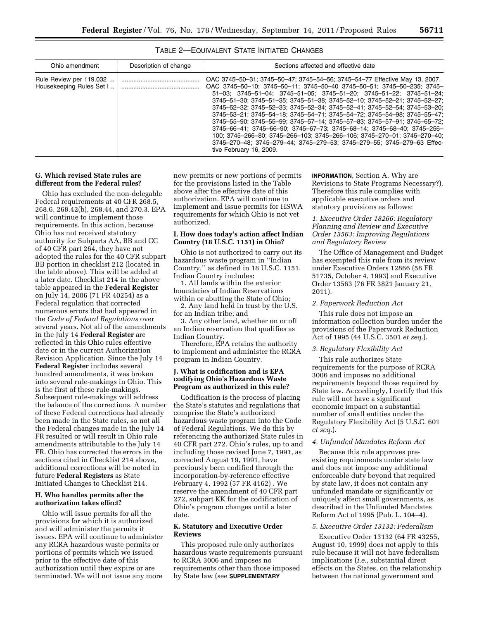| Ohio amendment                                      | Description of change | Sections affected and effective date                                                                                                                                                                                                                                                                                                                                                                                                                                                                                                                                                                                                                                                                                                                                                                                                                                                                  |
|-----------------------------------------------------|-----------------------|-------------------------------------------------------------------------------------------------------------------------------------------------------------------------------------------------------------------------------------------------------------------------------------------------------------------------------------------------------------------------------------------------------------------------------------------------------------------------------------------------------------------------------------------------------------------------------------------------------------------------------------------------------------------------------------------------------------------------------------------------------------------------------------------------------------------------------------------------------------------------------------------------------|
| Rule Review per 119.032<br>Housekeeping Rules Set I |                       | OAC 3745-50-31; 3745-50-47; 3745-54-56; 3745-54-77 Effective May 13, 2007.<br>OAC 3745-50-10; 3745-50-11; 3745-50-40 3745-50-51; 3745-50-235; 3745-<br>$51-03$ ; $3745-51-04$ ; $3745-51-05$ ; $3745-51-20$ ; $3745-51-22$ ; $3745-51-24$ ;<br>3745-51-30; 3745-51-35; 3745-51-38; 3745-52-10; 3745-52-21; 3745-52-27;<br>3745-52-32: 3745-52-33: 3745-52-34: 3745-52-41: 3745-52-54: 3745-53-20:<br>3745-53-21; 3745-54-18; 3745-54-71; 3745-54-72; 3745-54-98; 3745-55-47;<br>$3745 - 55 - 90$ ; $3745 - 55 - 99$ ; $3745 - 57 - 14$ ; $3745 - 57 - 83$ ; $3745 - 57 - 91$ ; $3745 - 65 - 72$ ;<br>$3745 - 66 - 41$ ; $3745 - 66 - 90$ ; $3745 - 67 - 73$ ; $3745 - 68 - 14$ ; $3745 - 68 - 40$ ; $3745 - 256 - 14$<br>100; 3745-266-80; 3745-266-103; 3745-266-106; 3745-270-01; 3745-270-40;<br>3745-270-48; 3745-279-44; 3745-279-53; 3745-279-55; 3745-279-63 Effec-<br>tive February 16, 2009. |

# TABLE 2—EQUIVALENT STATE INITIATED CHANGES

## **G. Which revised State rules are different from the Federal rules?**

Ohio has excluded the non-delegable Federal requirements at 40 CFR 268.5, 268.6, 268.42(b), 268.44, and 270.3. EPA will continue to implement those requirements. In this action, because Ohio has not received statutory authority for Subparts AA, BB and CC of 40 CFR part 264, they have not adopted the rules for the 40 CFR subpart BB portion in checklist 212 (located in the table above). This will be added at a later date. Checklist 214 in the above table appeared in the **Federal Register**  on July 14, 2006 (71 FR 40254) as a Federal regulation that corrected numerous errors that had appeared in the *Code of Federal Regulations* over several years. Not all of the amendments in the July 14 **Federal Register** are reflected in this Ohio rules effective date or in the current Authorization Revision Application. Since the July 14 **Federal Register** includes several hundred amendments, it was broken into several rule-makings in Ohio. This is the first of these rule-makings. Subsequent rule-makings will address the balance of the corrections. A number of these Federal corrections had already been made in the State rules, so not all the Federal changes made in the July 14 FR resulted or will result in Ohio rule amendments attributable to the July 14 FR. Ohio has corrected the errors in the sections cited in Checklist 214 above, additional corrections will be noted in future **Federal Registers** as State Initiated Changes to Checklist 214.

## **H. Who handles permits after the authorization takes effect?**

Ohio will issue permits for all the provisions for which it is authorized and will administer the permits it issues. EPA will continue to administer any RCRA hazardous waste permits or portions of permits which we issued prior to the effective date of this authorization until they expire or are terminated. We will not issue any more

new permits or new portions of permits for the provisions listed in the Table above after the effective date of this authorization. EPA will continue to implement and issue permits for HSWA requirements for which Ohio is not yet authorized.

#### **I. How does today's action affect Indian Country (18 U.S.C. 1151) in Ohio?**

Ohio is not authorized to carry out its hazardous waste program in ''Indian Country,'' as defined in 18 U.S.C. 1151. Indian Country includes:

1. All lands within the exterior boundaries of Indian Reservations within or abutting the State of Ohio;

2. Any land held in trust by the U.S. for an Indian tribe; and

3. Any other land, whether on or off an Indian reservation that qualifies as Indian Country.

Therefore, EPA retains the authority to implement and administer the RCRA program in Indian Country.

#### **J. What is codification and is EPA codifying Ohio's Hazardous Waste Program as authorized in this rule?**

Codification is the process of placing the State's statutes and regulations that comprise the State's authorized hazardous waste program into the Code of Federal Regulations. We do this by referencing the authorized State rules in 40 CFR part 272. Ohio's rules, up to and including those revised June 7, 1991, as corrected August 19, 1991, have previously been codified through the incorporation-by-reference effective February 4, 1992 (57 FR 4162) . We reserve the amendment of 40 CFR part 272, subpart KK for the codification of Ohio's program changes until a later date.

#### **K. Statutory and Executive Order Reviews**

This proposed rule only authorizes hazardous waste requirements pursuant to RCRA 3006 and imposes no requirements other than those imposed by State law (see **SUPPLEMENTARY**

**INFORMATION**, Section A. Why are Revisions to State Programs Necessary?). Therefore this rule complies with applicable executive orders and statutory provisions as follows:

## *1. Executive Order 18266: Regulatory Planning and Review and Executive Order 13563: Improving Regulations and Regulatory Review*

The Office of Management and Budget has exempted this rule from its review under Executive Orders 12866 (58 FR 51735, October 4, 1993) and Executive Order 13563 (76 FR 3821 January 21, 2011).

#### *2. Paperwork Reduction Act*

This rule does not impose an information collection burden under the provisions of the Paperwork Reduction Act of 1995 (44 U.S.C. 3501 *et seq.*).

#### *3. Regulatory Flexibility Act*

This rule authorizes State requirements for the purpose of RCRA 3006 and imposes no additional requirements beyond those required by State law. Accordingly, I certify that this rule will not have a significant economic impact on a substantial number of small entities under the Regulatory Flexibility Act (5 U.S.C. 601 *et seq.*).

#### *4. Unfunded Mandates Reform Act*

Because this rule approves preexisting requirements under state law and does not impose any additional enforceable duty beyond that required by state law, it does not contain any unfunded mandate or significantly or uniquely affect small governments, as described in the Unfunded Mandates Reform Act of 1995 (Pub. L. 104–4).

#### *5. Executive Order 13132: Federalism*

Executive Order 13132 (64 FR 43255, August 10, 1999) does not apply to this rule because it will not have federalism implications (*i.e.,* substantial direct effects on the States, on the relationship between the national government and